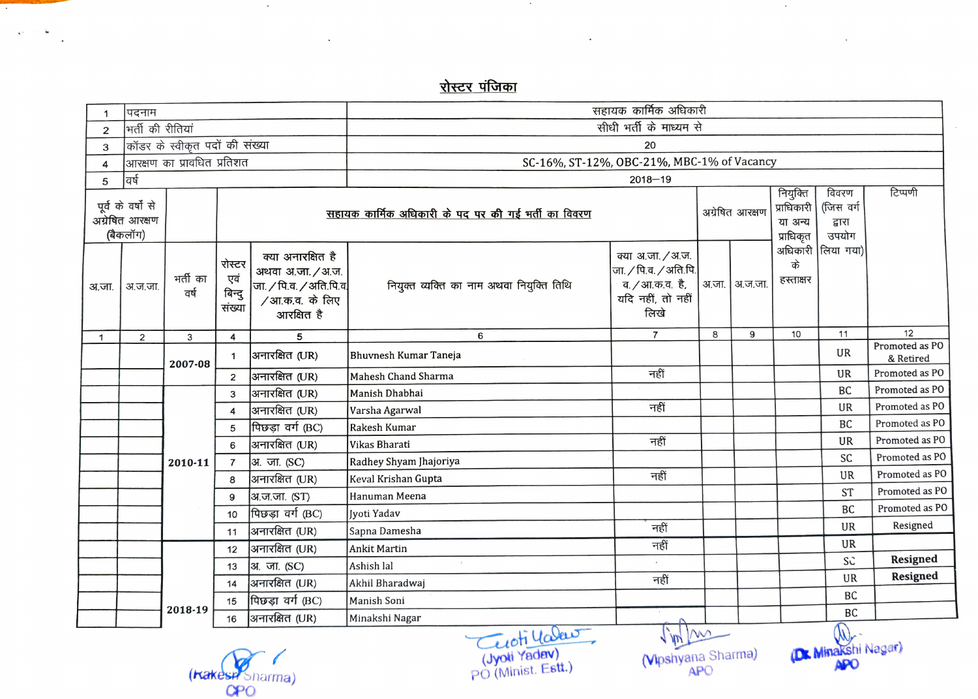<u>रोस्टर पंजिका</u>

 $\sim$ 

| 1            | पदनाम                                            |                  |                                                     |                                                                                                   | सहायक कार्मिक अधिकारी                      |                                                                                                     |   |                 |                              |                                       |                      |  |
|--------------|--------------------------------------------------|------------------|-----------------------------------------------------|---------------------------------------------------------------------------------------------------|--------------------------------------------|-----------------------------------------------------------------------------------------------------|---|-----------------|------------------------------|---------------------------------------|----------------------|--|
| $\mathbf 2$  | भिर्ती की रीतियां                                |                  |                                                     |                                                                                                   | सीधी भर्ती के माध्यम से                    |                                                                                                     |   |                 |                              |                                       |                      |  |
| $\mathsf 3$  | कॉडर के स्वीकृत पदों की संख्या                   |                  |                                                     |                                                                                                   | 20                                         |                                                                                                     |   |                 |                              |                                       |                      |  |
| 4            | आरक्षण का प्रावधित प्रतिशत                       |                  |                                                     |                                                                                                   | SC-16%, ST-12%, OBC-21%, MBC-1% of Vacancy |                                                                                                     |   |                 |                              |                                       |                      |  |
| 5            | वर्ष                                             |                  |                                                     |                                                                                                   | $2018 - 19$<br>नियुक्ति                    |                                                                                                     |   |                 |                              |                                       |                      |  |
|              | पूर्व के वर्षों से<br>अग्रेषित आरक्षण<br>बिकलॉग) |                  | सहायक कार्मिक अधिकारी के पद पर की गई भर्ती का विवरण |                                                                                                   |                                            |                                                                                                     |   | अग्रेषित आरक्षण |                              | विवरण<br>(जिस वर्ग<br>द्वारा<br>उपयोग | टिप्पणी              |  |
| अ.जा.        | अ.ज.जा.                                          | भर्ती का<br>वर्ष | रोस्टर<br>एवं<br>बिन्दु<br>संख्या                   | क्या अनारक्षित है<br>अथवा अ.जा. / अ.ज.<br>जा. / पि.व. / अति.पि.व.<br>/आ.क.व. के लिए<br>आरक्षित है | नियुक्त व्यक्ति का नाम अथवा नियुक्ति तिथि  | क्या अ.जा. / अ.ज.<br>जा. / पि.व. / अति.पि.<br>व <i>. /</i> आ.क.व.  है,<br>यदि नहीं, तो नहीं<br>लिखे |   | अ.जा.   अ.ज.जा. | प्राधिकृत<br>के<br>हस्ताक्षर | अधिकारी लिया गया)                     |                      |  |
| $\mathbf{1}$ | 2                                                | 3                | 4                                                   | 5                                                                                                 | 6                                          | $\overline{7}$                                                                                      | 8 | 9               | 10                           | 11                                    | 12<br>Promoted as PO |  |
|              |                                                  | 2007-08          | 1                                                   | आनारक्षित (UR)                                                                                    | Bhuvnesh Kumar Taneja                      |                                                                                                     |   |                 |                              | UR                                    | & Retired            |  |
|              |                                                  |                  | $\overline{2}$                                      | अनारक्षित (UR)                                                                                    | Mahesh Chand Sharma                        | नहीं                                                                                                |   |                 |                              | UR                                    | Promoted as PO       |  |
|              |                                                  |                  | 3                                                   | अनारक्षित (UR)                                                                                    | Manish Dhabhai                             |                                                                                                     |   |                 |                              | BC                                    | Promoted as PO       |  |
|              |                                                  |                  | 4                                                   | अनारक्षित (UR)                                                                                    | Varsha Agarwal                             | नहीं                                                                                                |   |                 |                              | UR                                    | Promoted as PO       |  |
|              |                                                  |                  | 5                                                   | पिछड़ा वर्ग (BC)                                                                                  | Rakesh Kumar                               |                                                                                                     |   |                 |                              | BC                                    | Promoted as PO       |  |
|              |                                                  |                  | 6                                                   | अनारक्षित (UR)                                                                                    | Vikas Bharati                              | नहीं                                                                                                |   |                 |                              | <b>UR</b>                             | Promoted as PO       |  |
|              |                                                  | 2010-11          |                                                     | अ. जा. (SC)                                                                                       | Radhey Shyam Jhajoriya                     |                                                                                                     |   |                 |                              | SC                                    | Promoted as PO       |  |
|              |                                                  |                  | 8                                                   | अनारक्षित (UR)                                                                                    | Keval Krishan Gupta                        | नहीं                                                                                                |   |                 |                              | UR                                    | Promoted as PO       |  |
|              |                                                  |                  | 9                                                   | अ.ज.जा. (ST)                                                                                      | Hanuman Meena                              |                                                                                                     |   |                 |                              | <b>ST</b>                             | Promoted as PO       |  |
|              |                                                  |                  | 10                                                  | पिछड़ा वर्ग (BC)                                                                                  | Iyoti Yadav                                |                                                                                                     |   |                 |                              | BC                                    | Promoted as PO       |  |
|              |                                                  |                  | 11                                                  | अनारक्षित (UR)                                                                                    | Sapna Damesha                              | नहीं                                                                                                |   |                 |                              | UR                                    | Resigned             |  |
|              |                                                  |                  | 12                                                  | अनारक्षित (UR)                                                                                    | Ankit Martin                               | नहीं                                                                                                |   |                 |                              | UR                                    |                      |  |
|              |                                                  |                  | 13                                                  | अ. जा. (SC)                                                                                       | Ashish lal                                 |                                                                                                     |   |                 |                              | SC                                    | <b>Resigned</b>      |  |
|              |                                                  |                  | 14                                                  | अनारक्षित (UR)                                                                                    | Akhil Bharadwaj                            | नहीं                                                                                                |   |                 |                              | <b>UR</b>                             | Resigned             |  |
|              |                                                  |                  | 15                                                  | पिछड़ा वर्ग (BC)                                                                                  | Manish Soni                                |                                                                                                     |   |                 |                              | BC                                    |                      |  |
|              |                                                  | 2018-19          | 16                                                  | अनारक्षित (UR)                                                                                    | Minakshi Nagar                             | ₳                                                                                                   |   |                 |                              | BC<br>$\curvearrowleft$               |                      |  |

(Kakesp<sup>y</sup>Snarma)<br>CPO

 $\sim$ 

 $\overline{\phantom{a}}$ 

 $\omega$  $\mathbf{v}^{\chi} = \mathbb{S}^2$ 

 $\ddot{\phantom{a}}$ 

Cuotillale (Jyoti Yadev) PO (Minist. Estt.)

(Vipshyana Sharma) APO

DMinakshi Nagar) APO

 $\mathcal{L}_{\mathcal{A}}$